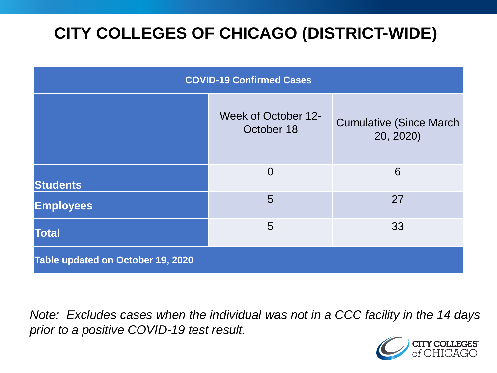# **CITY COLLEGES OF CHICAGO (DISTRICT-WIDE)**

| <b>COVID-19 Confirmed Cases</b>   |                                   |                                              |
|-----------------------------------|-----------------------------------|----------------------------------------------|
|                                   | Week of October 12-<br>October 18 | <b>Cumulative (Since March)</b><br>20, 2020) |
| <b>Students</b>                   | $\Omega$                          | 6                                            |
| <b>Employees</b>                  | 5                                 | 27                                           |
| <b>Total</b>                      | 5                                 | 33                                           |
| Table updated on October 19, 2020 |                                   |                                              |

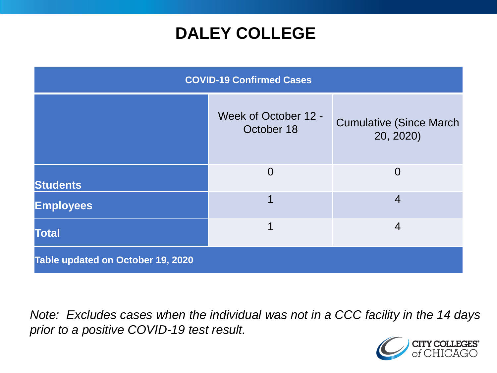### **DALEY COLLEGE**

| <b>COVID-19 Confirmed Cases</b>   |                                    |                                              |
|-----------------------------------|------------------------------------|----------------------------------------------|
|                                   | Week of October 12 -<br>October 18 | <b>Cumulative (Since March)</b><br>20, 2020) |
| <b>Students</b>                   | $\Omega$                           | $\Omega$                                     |
| <b>Employees</b>                  |                                    | $\overline{4}$                               |
| <b>Total</b>                      | 1                                  | $\overline{4}$                               |
| Table updated on October 19, 2020 |                                    |                                              |

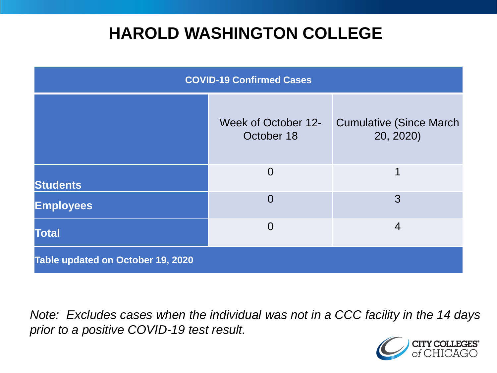### **HAROLD WASHINGTON COLLEGE**

| <b>COVID-19 Confirmed Cases</b>   |                                          |                                              |
|-----------------------------------|------------------------------------------|----------------------------------------------|
|                                   | <b>Week of October 12-</b><br>October 18 | <b>Cumulative (Since March)</b><br>20, 2020) |
| <b>Students</b>                   | $\Omega$                                 | 1                                            |
| <b>Employees</b>                  | $\overline{0}$                           | 3                                            |
| <b>Total</b>                      | $\overline{0}$                           | $\overline{4}$                               |
| Table updated on October 19, 2020 |                                          |                                              |

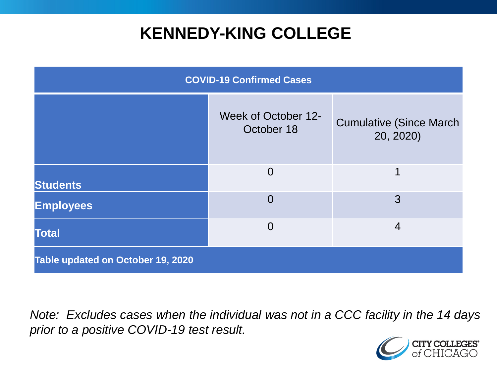### **KENNEDY-KING COLLEGE**

| <b>COVID-19 Confirmed Cases</b>   |                                   |                                              |
|-----------------------------------|-----------------------------------|----------------------------------------------|
|                                   | Week of October 12-<br>October 18 | <b>Cumulative (Since March)</b><br>20, 2020) |
| <b>Students</b>                   | $\overline{0}$                    | 1                                            |
| <b>Employees</b>                  | $\overline{0}$                    | 3                                            |
| <b>Total</b>                      | $\overline{0}$                    | $\overline{4}$                               |
| Table updated on October 19, 2020 |                                   |                                              |

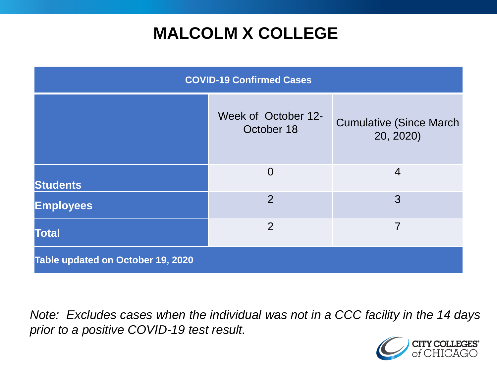## **MALCOLM X COLLEGE**

| <b>COVID-19 Confirmed Cases</b>   |                                   |                                              |
|-----------------------------------|-----------------------------------|----------------------------------------------|
|                                   | Week of October 12-<br>October 18 | <b>Cumulative (Since March)</b><br>20, 2020) |
| <b>Students</b>                   | $\overline{0}$                    | $\overline{4}$                               |
| <b>Employees</b>                  | 2                                 | 3                                            |
| <b>Total</b>                      | 2                                 | 7                                            |
| Table updated on October 19, 2020 |                                   |                                              |

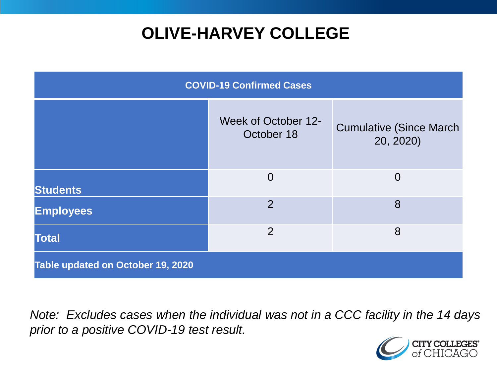## **OLIVE-HARVEY COLLEGE**

| <b>COVID-19 Confirmed Cases</b>   |                                          |                                              |
|-----------------------------------|------------------------------------------|----------------------------------------------|
|                                   | <b>Week of October 12-</b><br>October 18 | <b>Cumulative (Since March)</b><br>20, 2020) |
| <b>Students</b>                   | $\Omega$                                 | $\Omega$                                     |
| <b>Employees</b>                  | $\overline{2}$                           | 8                                            |
| <b>Total</b>                      | $\overline{2}$                           | 8                                            |
| Table updated on October 19, 2020 |                                          |                                              |

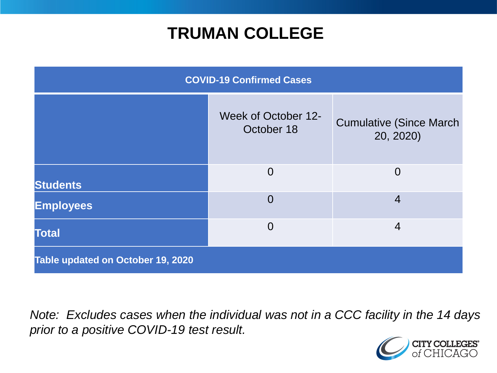### **TRUMAN COLLEGE**

| <b>COVID-19 Confirmed Cases</b>   |                                   |                                              |
|-----------------------------------|-----------------------------------|----------------------------------------------|
|                                   | Week of October 12-<br>October 18 | <b>Cumulative (Since March)</b><br>20, 2020) |
| <b>Students</b>                   | $\Omega$                          | $\overline{0}$                               |
| <b>Employees</b>                  | $\overline{0}$                    | $\overline{4}$                               |
| <b>Total</b>                      | $\Omega$                          | $\overline{4}$                               |
| Table updated on October 19, 2020 |                                   |                                              |